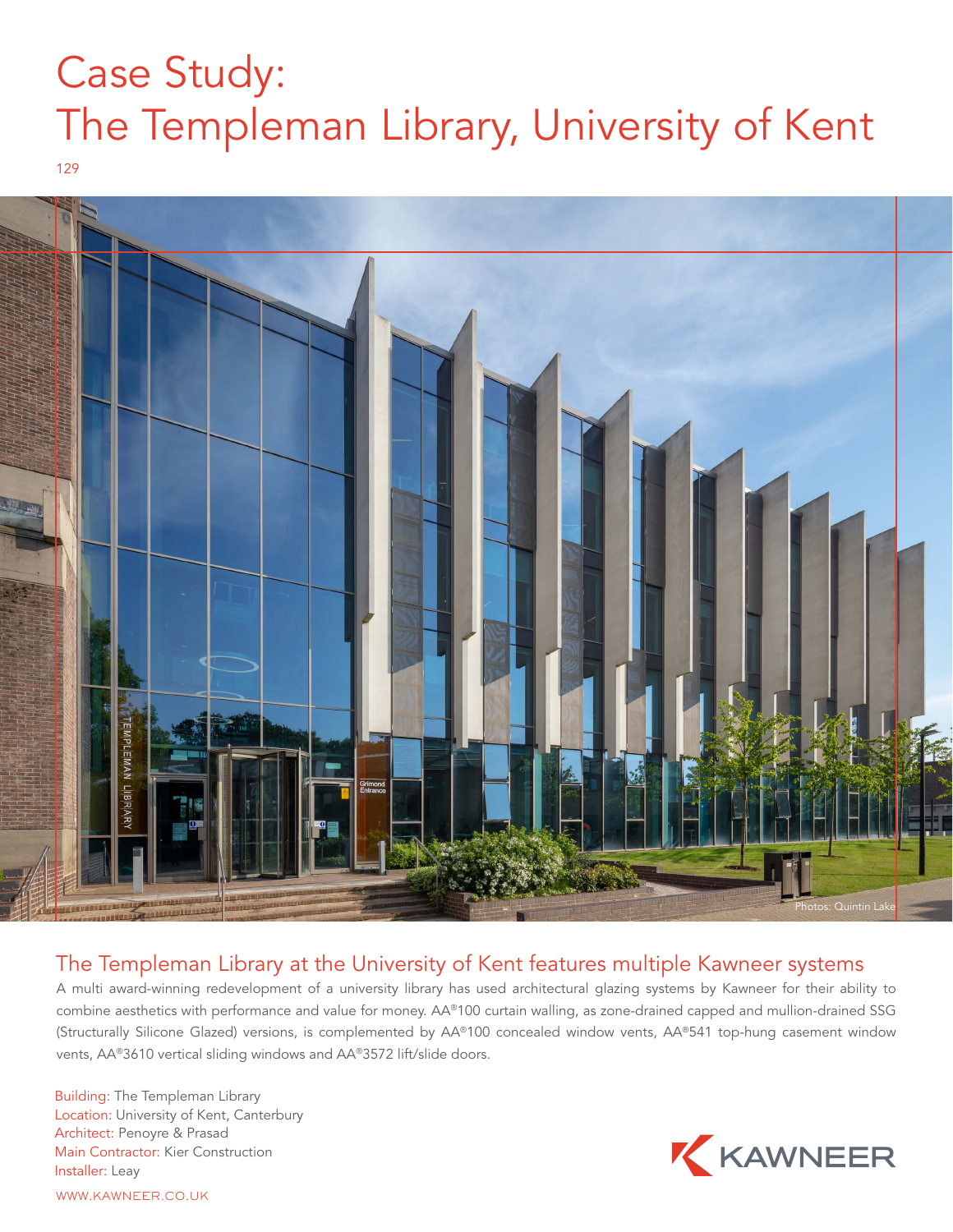## Case Study: The Templeman Library, University of Kent

129



## The Templeman Library at the University of Kent features multiple Kawneer systems

A multi award-winning redevelopment of a university library has used architectural glazing systems by Kawneer for their ability to combine aesthetics with performance and value for money. AA®100 curtain walling, as zone-drained capped and mullion-drained SSG (Structurally Silicone Glazed) versions, is complemented by AA®100 concealed window vents, AA®541 top-hung casement window vents, AA®3610 vertical sliding windows and AA®3572 lift/slide doors.

Building: The Templeman Library Location: University of Kent, Canterbury Architect: Penoyre & Prasad Main Contractor: Kier Construction Installer: Leay



WWW.KAWNEER.CO.UK